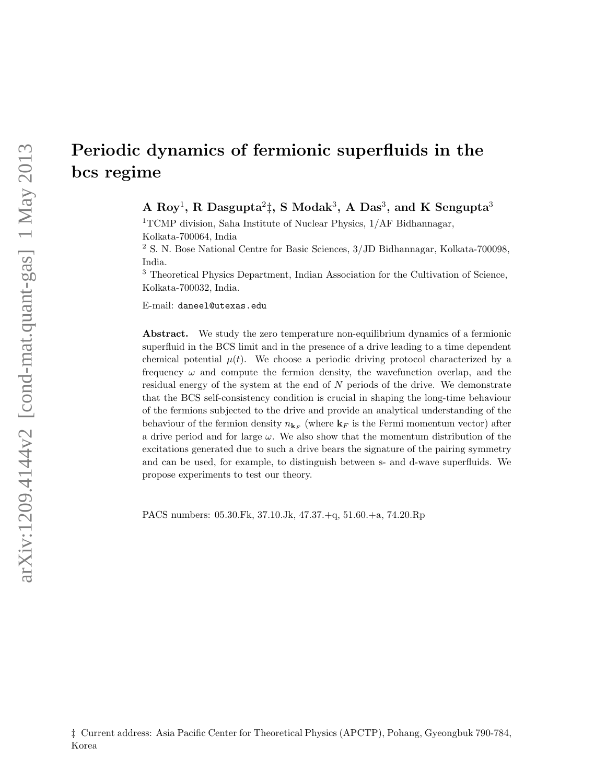# Periodic dynamics of fermionic superfluids in the bcs regime

A  $\mathrm{Roy}^1$ , R  $\mathrm{Dasgupta^2}$ ‡, S  $\mathrm{Modak}^3$ , A  $\mathrm{Das}^3$ , and K  $\mathrm{Sengupta}^3$ 

<sup>1</sup>TCMP division, Saha Institute of Nuclear Physics,  $1/AF$  Bidhannagar, Kolkata-700064, India

<sup>2</sup> S. N. Bose National Centre for Basic Sciences, 3/JD Bidhannagar, Kolkata-700098, India.

<sup>3</sup> Theoretical Physics Department, Indian Association for the Cultivation of Science, Kolkata-700032, India.

E-mail: daneel@utexas.edu

Abstract. We study the zero temperature non-equilibrium dynamics of a fermionic superfluid in the BCS limit and in the presence of a drive leading to a time dependent chemical potential  $\mu(t)$ . We choose a periodic driving protocol characterized by a frequency  $\omega$  and compute the fermion density, the wavefunction overlap, and the residual energy of the system at the end of  $N$  periods of the drive. We demonstrate that the BCS self-consistency condition is crucial in shaping the long-time behaviour of the fermions subjected to the drive and provide an analytical understanding of the behaviour of the fermion density  $n_{\mathbf{k}_F}$  (where  $\mathbf{k}_F$  is the Fermi momentum vector) after a drive period and for large  $\omega$ . We also show that the momentum distribution of the excitations generated due to such a drive bears the signature of the pairing symmetry and can be used, for example, to distinguish between s- and d-wave superfluids. We propose experiments to test our theory.

PACS numbers: 05.30.Fk, 37.10.Jk, 47.37.+q, 51.60.+a, 74.20.Rp

<sup>‡</sup> Current address: Asia Pacific Center for Theoretical Physics (APCTP), Pohang, Gyeongbuk 790-784, Korea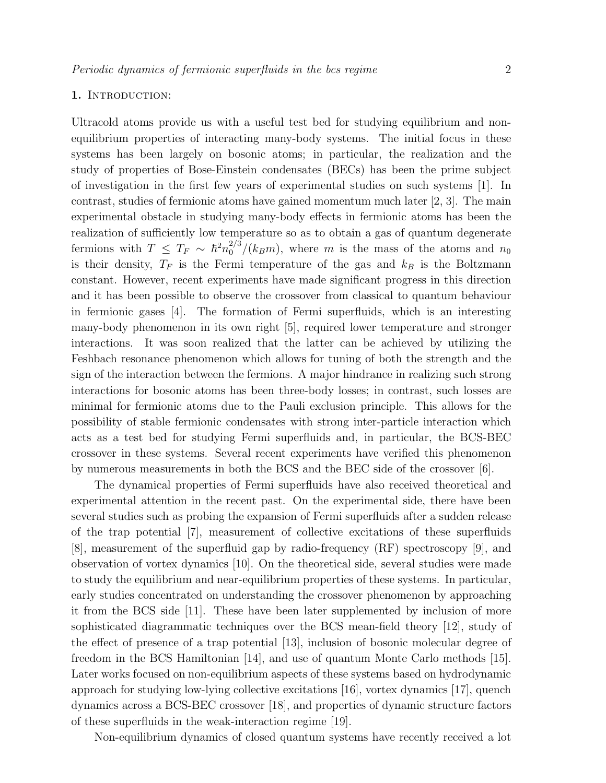# 1. INTRODUCTION:

Ultracold atoms provide us with a useful test bed for studying equilibrium and nonequilibrium properties of interacting many-body systems. The initial focus in these systems has been largely on bosonic atoms; in particular, the realization and the study of properties of Bose-Einstein condensates (BECs) has been the prime subject of investigation in the first few years of experimental studies on such systems [1]. In contrast, studies of fermionic atoms have gained momentum much later [2, 3]. The main experimental obstacle in studying many-body effects in fermionic atoms has been the realization of sufficiently low temperature so as to obtain a gas of quantum degenerate fermions with  $T \leq T_F \sim \hbar^2 n_0^{2/3} / (k_B m)$ , where m is the mass of the atoms and  $n_0$ is their density,  $T_F$  is the Fermi temperature of the gas and  $k_B$  is the Boltzmann constant. However, recent experiments have made significant progress in this direction and it has been possible to observe the crossover from classical to quantum behaviour in fermionic gases [4]. The formation of Fermi superfluids, which is an interesting many-body phenomenon in its own right [5], required lower temperature and stronger interactions. It was soon realized that the latter can be achieved by utilizing the Feshbach resonance phenomenon which allows for tuning of both the strength and the sign of the interaction between the fermions. A major hindrance in realizing such strong interactions for bosonic atoms has been three-body losses; in contrast, such losses are minimal for fermionic atoms due to the Pauli exclusion principle. This allows for the possibility of stable fermionic condensates with strong inter-particle interaction which acts as a test bed for studying Fermi superfluids and, in particular, the BCS-BEC crossover in these systems. Several recent experiments have verified this phenomenon by numerous measurements in both the BCS and the BEC side of the crossover [6].

The dynamical properties of Fermi superfluids have also received theoretical and experimental attention in the recent past. On the experimental side, there have been several studies such as probing the expansion of Fermi superfluids after a sudden release of the trap potential [7], measurement of collective excitations of these superfluids [8], measurement of the superfluid gap by radio-frequency (RF) spectroscopy [9], and observation of vortex dynamics [10]. On the theoretical side, several studies were made to study the equilibrium and near-equilibrium properties of these systems. In particular, early studies concentrated on understanding the crossover phenomenon by approaching it from the BCS side [11]. These have been later supplemented by inclusion of more sophisticated diagrammatic techniques over the BCS mean-field theory [12], study of the effect of presence of a trap potential [13], inclusion of bosonic molecular degree of freedom in the BCS Hamiltonian [14], and use of quantum Monte Carlo methods [15]. Later works focused on non-equilibrium aspects of these systems based on hydrodynamic approach for studying low-lying collective excitations [16], vortex dynamics [17], quench dynamics across a BCS-BEC crossover [18], and properties of dynamic structure factors of these superfluids in the weak-interaction regime [19].

Non-equilibrium dynamics of closed quantum systems have recently received a lot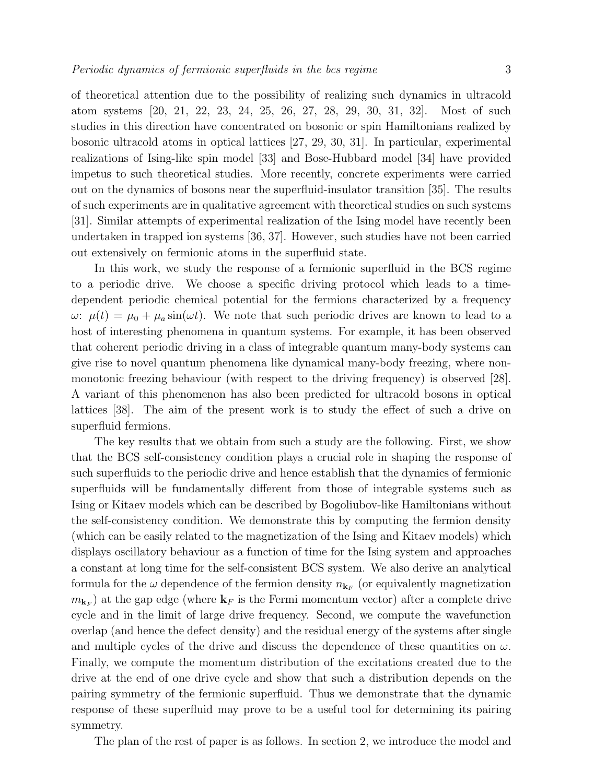of theoretical attention due to the possibility of realizing such dynamics in ultracold atom systems [20, 21, 22, 23, 24, 25, 26, 27, 28, 29, 30, 31, 32]. Most of such studies in this direction have concentrated on bosonic or spin Hamiltonians realized by bosonic ultracold atoms in optical lattices [27, 29, 30, 31]. In particular, experimental realizations of Ising-like spin model [33] and Bose-Hubbard model [34] have provided impetus to such theoretical studies. More recently, concrete experiments were carried out on the dynamics of bosons near the superfluid-insulator transition [35]. The results of such experiments are in qualitative agreement with theoretical studies on such systems [31]. Similar attempts of experimental realization of the Ising model have recently been undertaken in trapped ion systems [36, 37]. However, such studies have not been carried out extensively on fermionic atoms in the superfluid state.

In this work, we study the response of a fermionic superfluid in the BCS regime to a periodic drive. We choose a specific driving protocol which leads to a timedependent periodic chemical potential for the fermions characterized by a frequency  $\omega: \mu(t) = \mu_0 + \mu_a \sin(\omega t)$ . We note that such periodic drives are known to lead to a host of interesting phenomena in quantum systems. For example, it has been observed that coherent periodic driving in a class of integrable quantum many-body systems can give rise to novel quantum phenomena like dynamical many-body freezing, where nonmonotonic freezing behaviour (with respect to the driving frequency) is observed [28]. A variant of this phenomenon has also been predicted for ultracold bosons in optical lattices [38]. The aim of the present work is to study the effect of such a drive on superfluid fermions.

The key results that we obtain from such a study are the following. First, we show that the BCS self-consistency condition plays a crucial role in shaping the response of such superfluids to the periodic drive and hence establish that the dynamics of fermionic superfluids will be fundamentally different from those of integrable systems such as Ising or Kitaev models which can be described by Bogoliubov-like Hamiltonians without the self-consistency condition. We demonstrate this by computing the fermion density (which can be easily related to the magnetization of the Ising and Kitaev models) which displays oscillatory behaviour as a function of time for the Ising system and approaches a constant at long time for the self-consistent BCS system. We also derive an analytical formula for the  $\omega$  dependence of the fermion density  $n_{\mathbf{k}_F}$  (or equivalently magnetization  $m_{\mathbf{k}_F}$ ) at the gap edge (where  $\mathbf{k}_F$  is the Fermi momentum vector) after a complete drive cycle and in the limit of large drive frequency. Second, we compute the wavefunction overlap (and hence the defect density) and the residual energy of the systems after single and multiple cycles of the drive and discuss the dependence of these quantities on  $\omega$ . Finally, we compute the momentum distribution of the excitations created due to the drive at the end of one drive cycle and show that such a distribution depends on the pairing symmetry of the fermionic superfluid. Thus we demonstrate that the dynamic response of these superfluid may prove to be a useful tool for determining its pairing symmetry.

The plan of the rest of paper is as follows. In section 2, we introduce the model and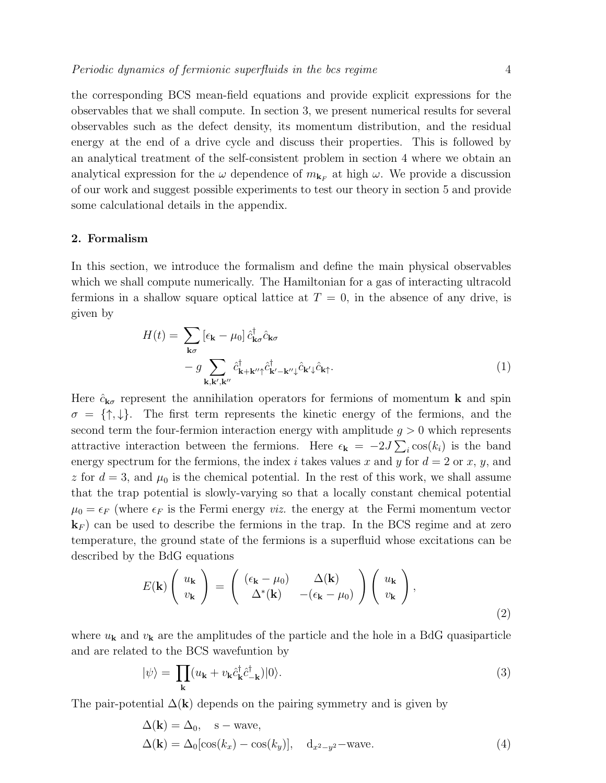the corresponding BCS mean-field equations and provide explicit expressions for the observables that we shall compute. In section 3, we present numerical results for several observables such as the defect density, its momentum distribution, and the residual energy at the end of a drive cycle and discuss their properties. This is followed by an analytical treatment of the self-consistent problem in section 4 where we obtain an analytical expression for the  $\omega$  dependence of  $m_{\mathbf{k}_F}$  at high  $\omega$ . We provide a discussion of our work and suggest possible experiments to test our theory in section 5 and provide some calculational details in the appendix.

## 2. Formalism

In this section, we introduce the formalism and define the main physical observables which we shall compute numerically. The Hamiltonian for a gas of interacting ultracold fermions in a shallow square optical lattice at  $T = 0$ , in the absence of any drive, is given by

$$
H(t) = \sum_{\mathbf{k}\sigma} \left[ \epsilon_{\mathbf{k}} - \mu_0 \right] \hat{c}_{\mathbf{k}\sigma}^{\dagger} \hat{c}_{\mathbf{k}\sigma} - g \sum_{\mathbf{k}, \mathbf{k}', \mathbf{k}''} \hat{c}_{\mathbf{k} + \mathbf{k}'' \uparrow}^{\dagger} \hat{c}_{\mathbf{k}' - \mathbf{k}'' \downarrow}^{\dagger} \hat{c}_{\mathbf{k}' \downarrow} \hat{c}_{\mathbf{k} \uparrow}.
$$
 (1)

Here  $\hat{c}_{\mathbf{k}\sigma}$  represent the annihilation operators for fermions of momentum **k** and spin  $\sigma = \{\uparrow,\downarrow\}.$  The first term represents the kinetic energy of the fermions, and the second term the four-fermion interaction energy with amplitude  $g > 0$  which represents attractive interaction between the fermions. Here  $\epsilon_{\mathbf{k}} = -2J\sum_{i} \cos(k_i)$  is the band energy spectrum for the fermions, the index i takes values x and y for  $d = 2$  or x, y, and z for  $d = 3$ , and  $\mu_0$  is the chemical potential. In the rest of this work, we shall assume that the trap potential is slowly-varying so that a locally constant chemical potential  $\mu_0 = \epsilon_F$  (where  $\epsilon_F$  is the Fermi energy *viz.* the energy at the Fermi momentum vector  $\mathbf{k}_F$  can be used to describe the fermions in the trap. In the BCS regime and at zero temperature, the ground state of the fermions is a superfluid whose excitations can be described by the BdG equations

$$
E(\mathbf{k})\begin{pmatrix} u_{\mathbf{k}} \\ v_{\mathbf{k}} \end{pmatrix} = \begin{pmatrix} (\epsilon_{\mathbf{k}} - \mu_0) & \Delta(\mathbf{k}) \\ \Delta^*(\mathbf{k}) & -(\epsilon_{\mathbf{k}} - \mu_0) \end{pmatrix} \begin{pmatrix} u_{\mathbf{k}} \\ v_{\mathbf{k}} \end{pmatrix},
$$
\n(2)

where  $u_{\mathbf{k}}$  and  $v_{\mathbf{k}}$  are the amplitudes of the particle and the hole in a BdG quasiparticle and are related to the BCS wavefuntion by

$$
|\psi\rangle = \prod_{\mathbf{k}} (u_{\mathbf{k}} + v_{\mathbf{k}} \hat{c}_{\mathbf{k}}^{\dagger} \hat{c}_{-\mathbf{k}}^{\dagger}) |0\rangle.
$$
 (3)

The pair-potential  $\Delta(\mathbf{k})$  depends on the pairing symmetry and is given by

$$
\Delta(\mathbf{k}) = \Delta_0, \quad \text{s-wave},
$$
  
\n
$$
\Delta(\mathbf{k}) = \Delta_0 [\cos(k_x) - \cos(k_y)], \quad d_{x^2 - y^2} - \text{wave}.
$$
\n(4)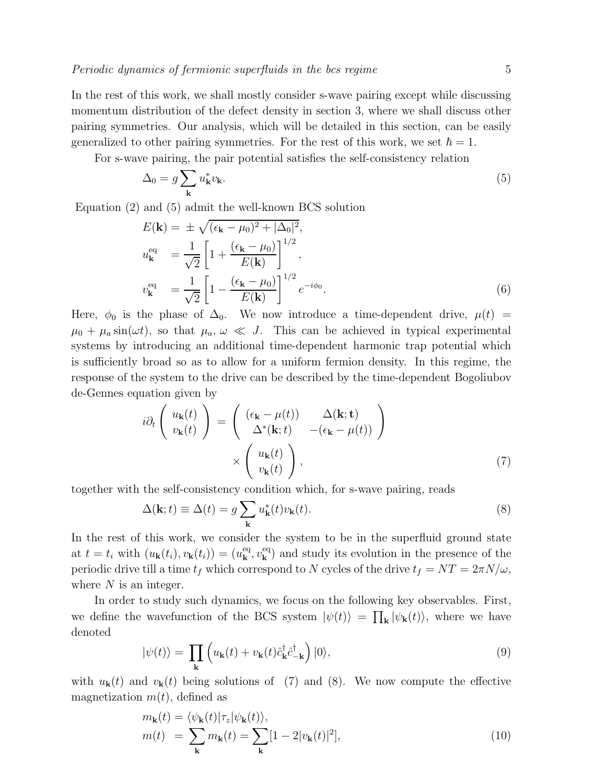In the rest of this work, we shall mostly consider s-wave pairing except while discussing momentum distribution of the defect density in section 3, where we shall discuss other pairing symmetries. Our analysis, which will be detailed in this section, can be easily generalized to other pairing symmetries. For the rest of this work, we set  $\hbar = 1$ .

For s-wave pairing, the pair potential satisfies the self-consistency relation

$$
\Delta_0 = g \sum_{\mathbf{k}} u_{\mathbf{k}}^* v_{\mathbf{k}}.\tag{5}
$$

Equation (2) and (5) admit the well-known BCS solution

$$
E(\mathbf{k}) = \pm \sqrt{(\epsilon_{\mathbf{k}} - \mu_0)^2 + |\Delta_0|^2},
$$
  
\n
$$
u_{\mathbf{k}}^{\text{eq}} = \frac{1}{\sqrt{2}} \left[ 1 + \frac{(\epsilon_{\mathbf{k}} - \mu_0)}{E(\mathbf{k})} \right]^{1/2},
$$
  
\n
$$
v_{\mathbf{k}}^{\text{eq}} = \frac{1}{\sqrt{2}} \left[ 1 - \frac{(\epsilon_{\mathbf{k}} - \mu_0)}{E(\mathbf{k})} \right]^{1/2} e^{-i\phi_0}.
$$
 (6)

Here,  $\phi_0$  is the phase of  $\Delta_0$ . We now introduce a time-dependent drive,  $\mu(t)$  =  $\mu_0 + \mu_a \sin(\omega t)$ , so that  $\mu_a, \omega \ll J$ . This can be achieved in typical experimental systems by introducing an additional time-dependent harmonic trap potential which is sufficiently broad so as to allow for a uniform fermion density. In this regime, the response of the system to the drive can be described by the time-dependent Bogoliubov de-Gennes equation given by

$$
i\partial_t \begin{pmatrix} u_{\mathbf{k}}(t) \\ v_{\mathbf{k}}(t) \end{pmatrix} = \begin{pmatrix} (\epsilon_{\mathbf{k}} - \mu(t)) & \Delta(\mathbf{k}; \mathbf{t}) \\ \Delta^*(\mathbf{k}; t) & -(\epsilon_{\mathbf{k}} - \mu(t)) \end{pmatrix} \times \begin{pmatrix} u_{\mathbf{k}}(t) \\ v_{\mathbf{k}}(t) \end{pmatrix},
$$
(7)

together with the self-consistency condition which, for s-wave pairing, reads

$$
\Delta(\mathbf{k};t) \equiv \Delta(t) = g \sum_{\mathbf{k}} u_{\mathbf{k}}^*(t) v_{\mathbf{k}}(t).
$$
\n(8)

In the rest of this work, we consider the system to be in the superfluid ground state at  $t = t_i$  with  $(u_{\mathbf{k}}(t_i), v_{\mathbf{k}}(t_i)) = (u_{\mathbf{k}}^{\text{eq}}, v_{\mathbf{k}}^{\text{eq}})$  and study its evolution in the presence of the periodic drive till a time  $t_f$  which correspond to N cycles of the drive  $t_f = NT = 2\pi N/\omega$ , where  $N$  is an integer.

In order to study such dynamics, we focus on the following key observables. First, we define the wavefunction of the BCS system  $|\psi(t)\rangle = \prod_{\mathbf{k}} |\psi_{\mathbf{k}}(t)\rangle$ , where we have denoted

$$
|\psi(t)\rangle = \prod_{\mathbf{k}} \left( u_{\mathbf{k}}(t) + v_{\mathbf{k}}(t)\hat{c}_{\mathbf{k}}^{\dagger}\hat{c}_{-\mathbf{k}}^{\dagger} \right) |0\rangle, \tag{9}
$$

with  $u_{\bf k}(t)$  and  $v_{\bf k}(t)$  being solutions of (7) and (8). We now compute the effective magnetization  $m(t)$ , defined as

$$
m_{\mathbf{k}}(t) = \langle \psi_{\mathbf{k}}(t) | \tau_z | \psi_{\mathbf{k}}(t) \rangle, m(t) = \sum_{\mathbf{k}} m_{\mathbf{k}}(t) = \sum_{\mathbf{k}} [1 - 2|v_{\mathbf{k}}(t)|^2],
$$
(10)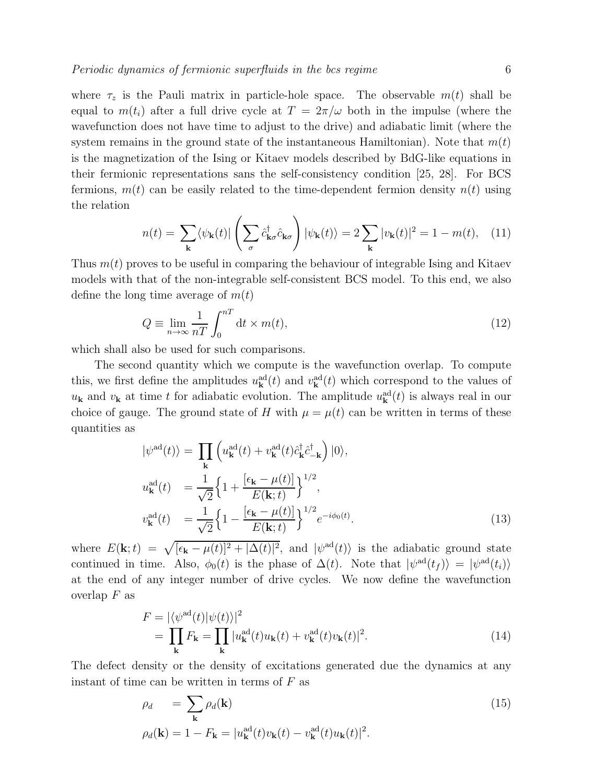where  $\tau_z$  is the Pauli matrix in particle-hole space. The observable  $m(t)$  shall be equal to  $m(t_i)$  after a full drive cycle at  $T = 2\pi/\omega$  both in the impulse (where the wavefunction does not have time to adjust to the drive) and adiabatic limit (where the system remains in the ground state of the instantaneous Hamiltonian). Note that  $m(t)$ is the magnetization of the Ising or Kitaev models described by BdG-like equations in their fermionic representations sans the self-consistency condition [25, 28]. For BCS fermions,  $m(t)$  can be easily related to the time-dependent fermion density  $n(t)$  using the relation

$$
n(t) = \sum_{\mathbf{k}} \langle \psi_{\mathbf{k}}(t) | \left( \sum_{\sigma} \hat{c}_{\mathbf{k}\sigma}^{\dagger} \hat{c}_{\mathbf{k}\sigma} \right) | \psi_{\mathbf{k}}(t) \rangle = 2 \sum_{\mathbf{k}} |v_{\mathbf{k}}(t)|^2 = 1 - m(t), \quad (11)
$$

Thus  $m(t)$  proves to be useful in comparing the behaviour of integrable Ising and Kitaev models with that of the non-integrable self-consistent BCS model. To this end, we also define the long time average of  $m(t)$ 

$$
Q \equiv \lim_{n \to \infty} \frac{1}{nT} \int_0^{nT} dt \times m(t), \tag{12}
$$

which shall also be used for such comparisons.

The second quantity which we compute is the wavefunction overlap. To compute this, we first define the amplitudes  $u_{\mathbf{k}}^{\text{ad}}(t)$  and  $v_{\mathbf{k}}^{\text{ad}}(t)$  which correspond to the values of  $u_{\mathbf{k}}$  and  $v_{\mathbf{k}}$  at time t for adiabatic evolution. The amplitude  $u_{\mathbf{k}}^{\text{ad}}(t)$  is always real in our choice of gauge. The ground state of H with  $\mu = \mu(t)$  can be written in terms of these quantities as

$$
|\psi^{\text{ad}}(t)\rangle = \prod_{\mathbf{k}} \left( u_{\mathbf{k}}^{\text{ad}}(t) + v_{\mathbf{k}}^{\text{ad}}(t)\hat{c}_{\mathbf{k}}^{\dagger}\hat{c}_{-\mathbf{k}}^{\dagger} \right) |0\rangle,
$$
  
\n
$$
u_{\mathbf{k}}^{\text{ad}}(t) = \frac{1}{\sqrt{2}} \Big\{ 1 + \frac{\left[\epsilon_{\mathbf{k}} - \mu(t)\right]}{E(\mathbf{k}; t)} \Big\}^{1/2},
$$
  
\n
$$
v_{\mathbf{k}}^{\text{ad}}(t) = \frac{1}{\sqrt{2}} \Big\{ 1 - \frac{\left[\epsilon_{\mathbf{k}} - \mu(t)\right]}{E(\mathbf{k}; t)} \Big\}^{1/2} e^{-i\phi_0(t)}.
$$
\n(13)

where  $E(\mathbf{k};t) = \sqrt{[\epsilon_{\mathbf{k}} - \mu(t)]^2 + |\Delta(t)|^2}$ , and  $|\psi^{\text{ad}}(t)\rangle$  is the adiabatic ground state continued in time. Also,  $\phi_0(t)$  is the phase of  $\Delta(t)$ . Note that  $|\psi^{\text{ad}}(t_f)\rangle = |\psi^{\text{ad}}(t_i)\rangle$ at the end of any integer number of drive cycles. We now define the wavefunction overlap  $F$  as

$$
F = |\langle \psi^{\rm ad}(t) | \psi(t) \rangle|^2
$$
  
= 
$$
\prod_{\mathbf{k}} F_{\mathbf{k}} = \prod_{\mathbf{k}} |u_{\mathbf{k}}^{\rm ad}(t)u_{\mathbf{k}}(t) + v_{\mathbf{k}}^{\rm ad}(t)v_{\mathbf{k}}(t)|^2.
$$
 (14)

The defect density or the density of excitations generated due the dynamics at any instant of time can be written in terms of  $F$  as

$$
\rho_d = \sum_{\mathbf{k}} \rho_d(\mathbf{k})
$$
  
\n
$$
\rho_d(\mathbf{k}) = 1 - F_{\mathbf{k}} = |u_{\mathbf{k}}^{\text{ad}}(t)v_{\mathbf{k}}(t) - v_{\mathbf{k}}^{\text{ad}}(t)u_{\mathbf{k}}(t)|^2.
$$
\n(15)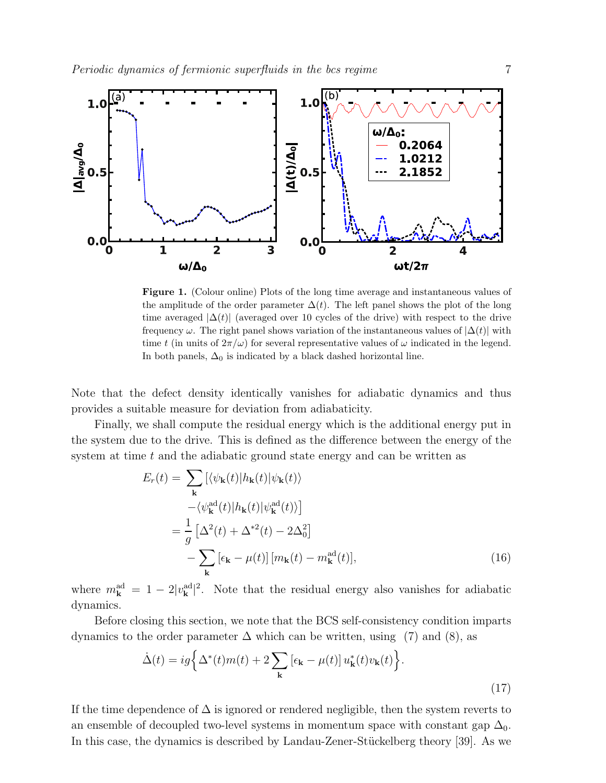

Figure 1. (Colour online) Plots of the long time average and instantaneous values of the amplitude of the order parameter  $\Delta(t)$ . The left panel shows the plot of the long time averaged  $|\Delta(t)|$  (averaged over 10 cycles of the drive) with respect to the drive frequency  $\omega$ . The right panel shows variation of the instantaneous values of  $|\Delta(t)|$  with time t (in units of  $2\pi/\omega$ ) for several representative values of  $\omega$  indicated in the legend. In both panels,  $\Delta_0$  is indicated by a black dashed horizontal line.

Note that the defect density identically vanishes for adiabatic dynamics and thus provides a suitable measure for deviation from adiabaticity.

Finally, we shall compute the residual energy which is the additional energy put in the system due to the drive. This is defined as the difference between the energy of the system at time  $t$  and the adiabatic ground state energy and can be written as

$$
E_r(t) = \sum_{\mathbf{k}} [\langle \psi_{\mathbf{k}}(t) | h_{\mathbf{k}}(t) | \psi_{\mathbf{k}}(t) \rangle
$$
  

$$
- \langle \psi_{\mathbf{k}}^{\text{ad}}(t) | h_{\mathbf{k}}(t) | \psi_{\mathbf{k}}^{\text{ad}}(t) \rangle]
$$
  

$$
= \frac{1}{g} [\Delta^2(t) + \Delta^{*2}(t) - 2\Delta_0^2]
$$
  

$$
- \sum_{\mathbf{k}} [\epsilon_{\mathbf{k}} - \mu(t)] [m_{\mathbf{k}}(t) - m_{\mathbf{k}}^{\text{ad}}(t)],
$$
 (16)

where  $m_{\mathbf{k}}^{\text{ad}} = 1 - 2|v_{\mathbf{k}}^{\text{ad}}|^2$ . Note that the residual energy also vanishes for adiabatic dynamics.

Before closing this section, we note that the BCS self-consistency condition imparts dynamics to the order parameter  $\Delta$  which can be written, using (7) and (8), as

$$
\dot{\Delta}(t) = ig \Big\{ \Delta^*(t) m(t) + 2 \sum_{\mathbf{k}} \left[ \epsilon_{\mathbf{k}} - \mu(t) \right] u_{\mathbf{k}}^*(t) v_{\mathbf{k}}(t) \Big\}.
$$
\n(17)

If the time dependence of  $\Delta$  is ignored or rendered negligible, then the system reverts to an ensemble of decoupled two-level systems in momentum space with constant gap  $\Delta_0$ . In this case, the dynamics is described by Landau-Zener-Stückelberg theory [39]. As we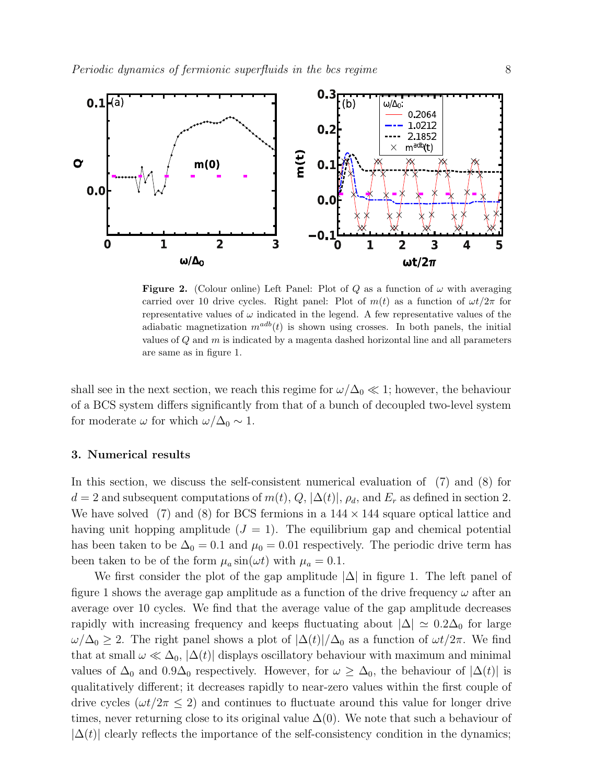

Figure 2. (Colour online) Left Panel: Plot of Q as a function of  $\omega$  with averaging carried over 10 drive cycles. Right panel: Plot of  $m(t)$  as a function of  $\omega t/2\pi$  for representative values of  $\omega$  indicated in the legend. A few representative values of the adiabatic magnetization  $m^{adb}(t)$  is shown using crosses. In both panels, the initial values of  $Q$  and  $m$  is indicated by a magenta dashed horizontal line and all parameters are same as in figure 1.

shall see in the next section, we reach this regime for  $\omega/\Delta_0 \ll 1$ ; however, the behaviour of a BCS system differs significantly from that of a bunch of decoupled two-level system for moderate  $\omega$  for which  $\omega/\Delta_0 \sim 1$ .

## 3. Numerical results

In this section, we discuss the self-consistent numerical evaluation of (7) and (8) for  $d = 2$  and subsequent computations of  $m(t)$ ,  $Q$ ,  $|\Delta(t)|$ ,  $\rho_d$ , and  $E_r$  as defined in section 2. We have solved (7) and (8) for BCS fermions in a  $144 \times 144$  square optical lattice and having unit hopping amplitude  $(J = 1)$ . The equilibrium gap and chemical potential has been taken to be  $\Delta_0 = 0.1$  and  $\mu_0 = 0.01$  respectively. The periodic drive term has been taken to be of the form  $\mu_a \sin(\omega t)$  with  $\mu_a = 0.1$ .

We first consider the plot of the gap amplitude  $|\Delta|$  in figure 1. The left panel of figure 1 shows the average gap amplitude as a function of the drive frequency  $\omega$  after an average over 10 cycles. We find that the average value of the gap amplitude decreases rapidly with increasing frequency and keeps fluctuating about  $|\Delta| \simeq 0.2\Delta_0$  for large  $\omega/\Delta_0 \geq 2$ . The right panel shows a plot of  $|\Delta(t)|/\Delta_0$  as a function of  $\omega t/2\pi$ . We find that at small  $\omega \ll \Delta_0$ ,  $|\Delta(t)|$  displays oscillatory behaviour with maximum and minimal values of  $\Delta_0$  and  $0.9\Delta_0$  respectively. However, for  $\omega \geq \Delta_0$ , the behaviour of  $|\Delta(t)|$  is qualitatively different; it decreases rapidly to near-zero values within the first couple of drive cycles ( $\omega t/2\pi \leq 2$ ) and continues to fluctuate around this value for longer drive times, never returning close to its original value  $\Delta(0)$ . We note that such a behaviour of  $|\Delta(t)|$  clearly reflects the importance of the self-consistency condition in the dynamics;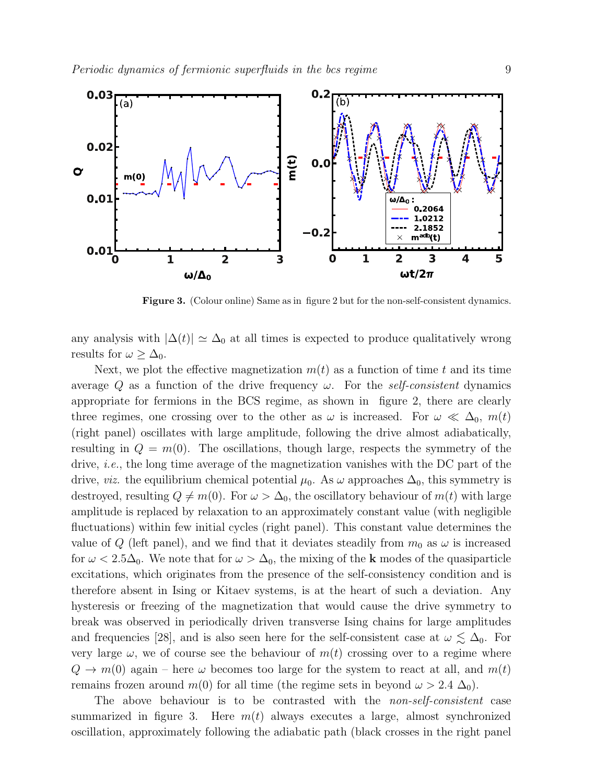

Figure 3. (Colour online) Same as in figure 2 but for the non-self-consistent dynamics.

any analysis with  $|\Delta(t)| \simeq \Delta_0$  at all times is expected to produce qualitatively wrong results for  $\omega \geq \Delta_0$ .

Next, we plot the effective magnetization  $m(t)$  as a function of time t and its time average Q as a function of the drive frequency  $\omega$ . For the self-consistent dynamics appropriate for fermions in the BCS regime, as shown in figure 2, there are clearly three regimes, one crossing over to the other as  $\omega$  is increased. For  $\omega \ll \Delta_0$ ,  $m(t)$ (right panel) oscillates with large amplitude, following the drive almost adiabatically, resulting in  $Q = m(0)$ . The oscillations, though large, respects the symmetry of the drive, *i.e.*, the long time average of the magnetization vanishes with the DC part of the drive, *viz.* the equilibrium chemical potential  $\mu_0$ . As  $\omega$  approaches  $\Delta_0$ , this symmetry is destroyed, resulting  $Q \neq m(0)$ . For  $\omega > \Delta_0$ , the oscillatory behaviour of  $m(t)$  with large amplitude is replaced by relaxation to an approximately constant value (with negligible fluctuations) within few initial cycles (right panel). This constant value determines the value of Q (left panel), and we find that it deviates steadily from  $m_0$  as  $\omega$  is increased for  $\omega < 2.5\Delta_0$ . We note that for  $\omega > \Delta_0$ , the mixing of the k modes of the quasiparticle excitations, which originates from the presence of the self-consistency condition and is therefore absent in Ising or Kitaev systems, is at the heart of such a deviation. Any hysteresis or freezing of the magnetization that would cause the drive symmetry to break was observed in periodically driven transverse Ising chains for large amplitudes and frequencies [28], and is also seen here for the self-consistent case at  $\omega \lesssim \Delta_0$ . For very large  $\omega$ , we of course see the behaviour of  $m(t)$  crossing over to a regime where  $Q \to m(0)$  again – here  $\omega$  becomes too large for the system to react at all, and  $m(t)$ remains frozen around  $m(0)$  for all time (the regime sets in beyond  $\omega > 2.4 \Delta_0$ ).

The above behaviour is to be contrasted with the non-self-consistent case summarized in figure 3. Here  $m(t)$  always executes a large, almost synchronized oscillation, approximately following the adiabatic path (black crosses in the right panel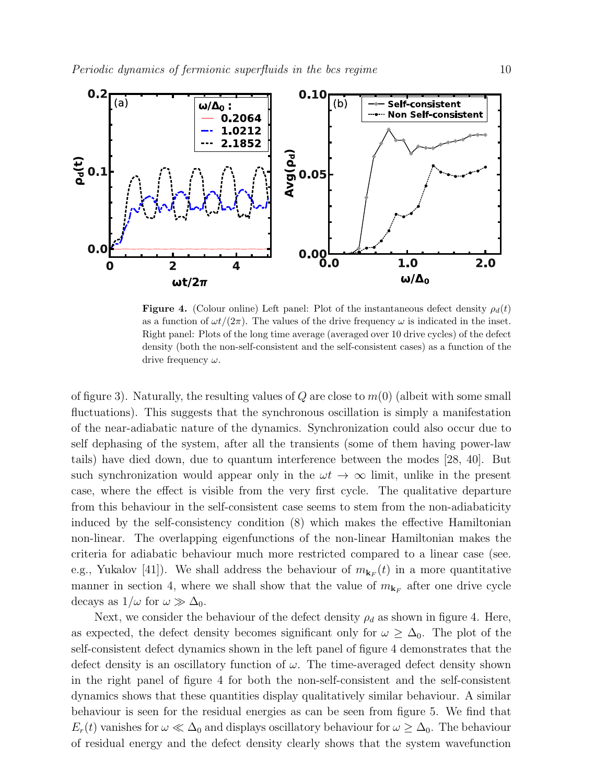

**Figure 4.** (Colour online) Left panel: Plot of the instantaneous defect density  $\rho_d(t)$ as a function of  $\omega t/(2\pi)$ . The values of the drive frequency  $\omega$  is indicated in the inset. Right panel: Plots of the long time average (averaged over 10 drive cycles) of the defect density (both the non-self-consistent and the self-consistent cases) as a function of the drive frequency  $\omega$ .

of figure 3). Naturally, the resulting values of Q are close to  $m(0)$  (albeit with some small fluctuations). This suggests that the synchronous oscillation is simply a manifestation of the near-adiabatic nature of the dynamics. Synchronization could also occur due to self dephasing of the system, after all the transients (some of them having power-law tails) have died down, due to quantum interference between the modes [28, 40]. But such synchronization would appear only in the  $\omega t \to \infty$  limit, unlike in the present case, where the effect is visible from the very first cycle. The qualitative departure from this behaviour in the self-consistent case seems to stem from the non-adiabaticity induced by the self-consistency condition (8) which makes the effective Hamiltonian non-linear. The overlapping eigenfunctions of the non-linear Hamiltonian makes the criteria for adiabatic behaviour much more restricted compared to a linear case (see. e.g., Yukalov [41]). We shall address the behaviour of  $m_{\mathbf{k}_F}(t)$  in a more quantitative manner in section 4, where we shall show that the value of  $m_{\mathbf{k}_F}$  after one drive cycle decays as  $1/\omega$  for  $\omega \gg \Delta_0$ .

Next, we consider the behaviour of the defect density  $\rho_d$  as shown in figure 4. Here, as expected, the defect density becomes significant only for  $\omega \geq \Delta_0$ . The plot of the self-consistent defect dynamics shown in the left panel of figure 4 demonstrates that the defect density is an oscillatory function of  $\omega$ . The time-averaged defect density shown in the right panel of figure 4 for both the non-self-consistent and the self-consistent dynamics shows that these quantities display qualitatively similar behaviour. A similar behaviour is seen for the residual energies as can be seen from figure 5. We find that  $E_r(t)$  vanishes for  $\omega \ll \Delta_0$  and displays oscillatory behaviour for  $\omega \geq \Delta_0$ . The behaviour of residual energy and the defect density clearly shows that the system wavefunction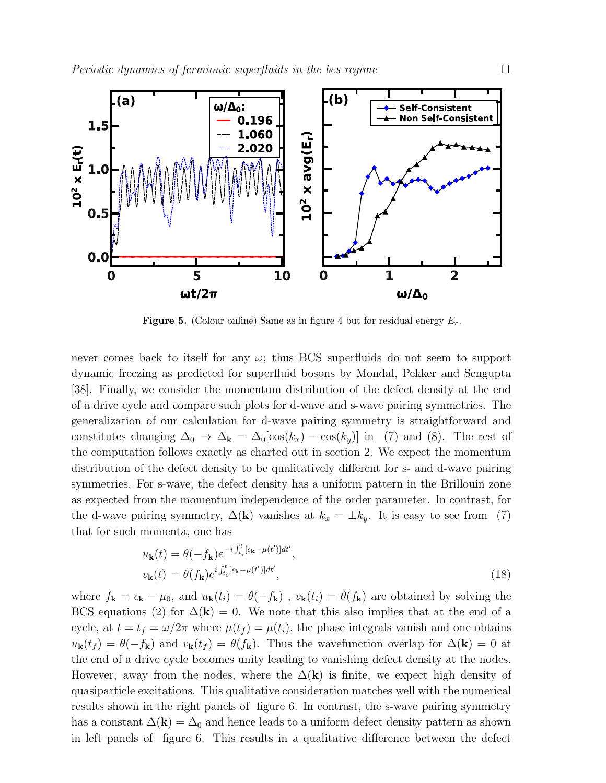

**Figure 5.** (Colour online) Same as in figure 4 but for residual energy  $E_r$ .

never comes back to itself for any  $\omega$ ; thus BCS superfluids do not seem to support dynamic freezing as predicted for superfluid bosons by Mondal, Pekker and Sengupta [38]. Finally, we consider the momentum distribution of the defect density at the end of a drive cycle and compare such plots for d-wave and s-wave pairing symmetries. The generalization of our calculation for d-wave pairing symmetry is straightforward and constitutes changing  $\Delta_0 \to \Delta_{\mathbf{k}} = \Delta_0[\cos(k_x) - \cos(k_y)]$  in (7) and (8). The rest of the computation follows exactly as charted out in section 2. We expect the momentum distribution of the defect density to be qualitatively different for s- and d-wave pairing symmetries. For s-wave, the defect density has a uniform pattern in the Brillouin zone as expected from the momentum independence of the order parameter. In contrast, for the d-wave pairing symmetry,  $\Delta(\mathbf{k})$  vanishes at  $k_x = \pm k_y$ . It is easy to see from (7) that for such momenta, one has

$$
u_{\mathbf{k}}(t) = \theta(-f_{\mathbf{k}})e^{-i\int_{t_i}^t [\epsilon_{\mathbf{k}} - \mu(t')]dt'},
$$
  

$$
v_{\mathbf{k}}(t) = \theta(f_{\mathbf{k}})e^{i\int_{t_i}^t [\epsilon_{\mathbf{k}} - \mu(t')]dt'},
$$
\n(18)

where  $f_{\bf k} = \epsilon_{\bf k} - \mu_0$ , and  $u_{\bf k}(t_i) = \theta(-f_{\bf k})$ ,  $v_{\bf k}(t_i) = \theta(f_{\bf k})$  are obtained by solving the BCS equations (2) for  $\Delta(\mathbf{k}) = 0$ . We note that this also implies that at the end of a cycle, at  $t = t_f = \omega/2\pi$  where  $\mu(t_f) = \mu(t_i)$ , the phase integrals vanish and one obtains  $u_{\mathbf{k}}(t_f) = \theta(-f_{\mathbf{k}})$  and  $v_{\mathbf{k}}(t_f) = \theta(f_{\mathbf{k}})$ . Thus the wavefunction overlap for  $\Delta(\mathbf{k}) = 0$  at the end of a drive cycle becomes unity leading to vanishing defect density at the nodes. However, away from the nodes, where the  $\Delta(k)$  is finite, we expect high density of quasiparticle excitations. This qualitative consideration matches well with the numerical results shown in the right panels of figure 6. In contrast, the s-wave pairing symmetry has a constant  $\Delta(\mathbf{k}) = \Delta_0$  and hence leads to a uniform defect density pattern as shown in left panels of figure 6. This results in a qualitative difference between the defect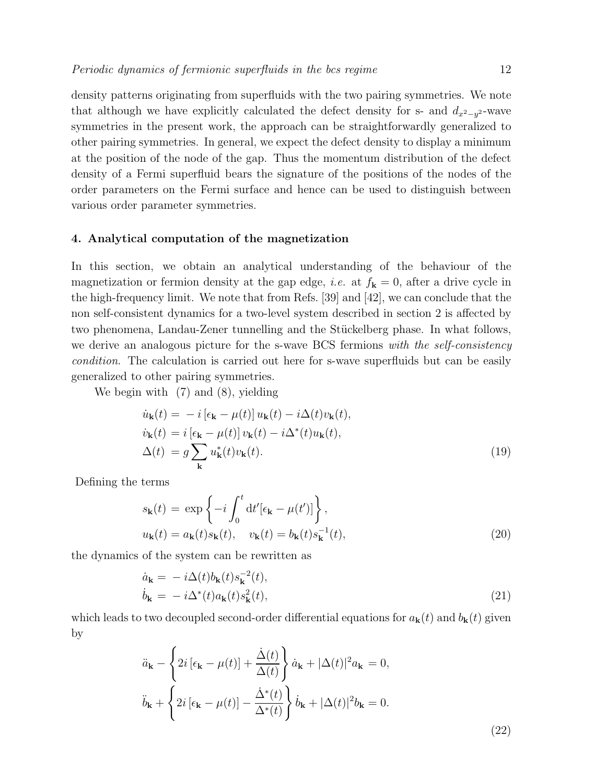density patterns originating from superfluids with the two pairing symmetries. We note that although we have explicitly calculated the defect density for s- and  $d_{x^2-y^2}$ -wave symmetries in the present work, the approach can be straightforwardly generalized to other pairing symmetries. In general, we expect the defect density to display a minimum at the position of the node of the gap. Thus the momentum distribution of the defect density of a Fermi superfluid bears the signature of the positions of the nodes of the order parameters on the Fermi surface and hence can be used to distinguish between various order parameter symmetries.

## 4. Analytical computation of the magnetization

In this section, we obtain an analytical understanding of the behaviour of the magnetization or fermion density at the gap edge, *i.e.* at  $f_k = 0$ , after a drive cycle in the high-frequency limit. We note that from Refs. [39] and [42], we can conclude that the non self-consistent dynamics for a two-level system described in section 2 is affected by two phenomena, Landau-Zener tunnelling and the Stückelberg phase. In what follows, we derive an analogous picture for the s-wave BCS fermions with the self-consistency condition. The calculation is carried out here for s-wave superfluids but can be easily generalized to other pairing symmetries.

We begin with (7) and (8), yielding

$$
\dot{u}_{\mathbf{k}}(t) = -i \left[ \epsilon_{\mathbf{k}} - \mu(t) \right] u_{\mathbf{k}}(t) - i \Delta(t) v_{\mathbf{k}}(t),
$$
\n
$$
\dot{v}_{\mathbf{k}}(t) = i \left[ \epsilon_{\mathbf{k}} - \mu(t) \right] v_{\mathbf{k}}(t) - i \Delta^*(t) u_{\mathbf{k}}(t),
$$
\n
$$
\Delta(t) = g \sum_{\mathbf{k}} u_{\mathbf{k}}^*(t) v_{\mathbf{k}}(t).
$$
\n(19)

Defining the terms

$$
s_{\mathbf{k}}(t) = \exp\left\{-i \int_0^t dt' [\epsilon_{\mathbf{k}} - \mu(t')] \right\},
$$
  

$$
u_{\mathbf{k}}(t) = a_{\mathbf{k}}(t) s_{\mathbf{k}}(t), \quad v_{\mathbf{k}}(t) = b_{\mathbf{k}}(t) s_{\mathbf{k}}^{-1}(t),
$$
 (20)

the dynamics of the system can be rewritten as

$$
\dot{a}_{\mathbf{k}} = -i\Delta(t)b_{\mathbf{k}}(t)s_{\mathbf{k}}^{-2}(t), \n\dot{b}_{\mathbf{k}} = -i\Delta^*(t)a_{\mathbf{k}}(t)s_{\mathbf{k}}^2(t),
$$
\n(21)

which leads to two decoupled second-order differential equations for  $a_{\bf k}(t)$  and  $b_{\bf k}(t)$  given by

$$
\ddot{a}_{\mathbf{k}} - \left\{ 2i \left[ \epsilon_{\mathbf{k}} - \mu(t) \right] + \frac{\dot{\Delta}(t)}{\Delta(t)} \right\} \dot{a}_{\mathbf{k}} + |\Delta(t)|^2 a_{\mathbf{k}} = 0,
$$
  

$$
\ddot{b}_{\mathbf{k}} + \left\{ 2i \left[ \epsilon_{\mathbf{k}} - \mu(t) \right] - \frac{\dot{\Delta}^*(t)}{\Delta^*(t)} \right\} \dot{b}_{\mathbf{k}} + |\Delta(t)|^2 b_{\mathbf{k}} = 0.
$$
 (22)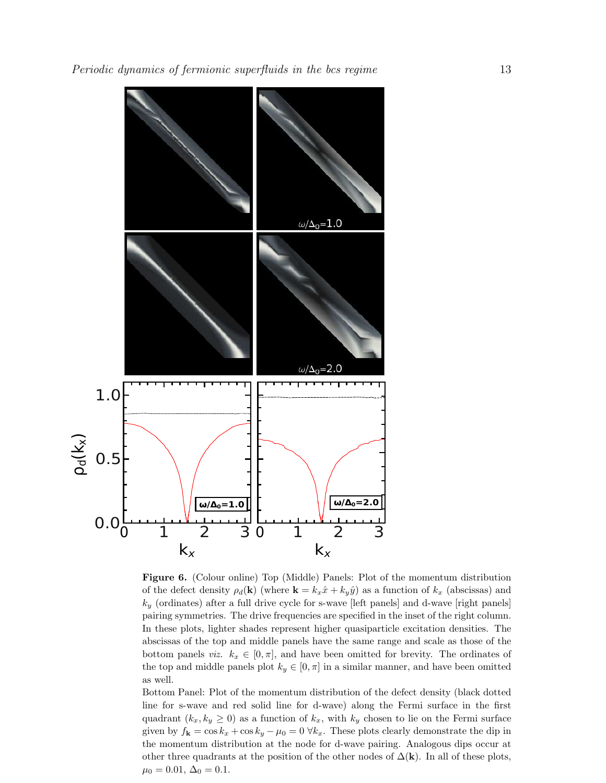

Figure 6. (Colour online) Top (Middle) Panels: Plot of the momentum distribution of the defect density  $\rho_d(\mathbf{k})$  (where  $\mathbf{k} = k_x \hat{x} + k_y \hat{y}$ ) as a function of  $k_x$  (abscissas) and  $k_y$  (ordinates) after a full drive cycle for s-wave [left panels] and d-wave [right panels] pairing symmetries. The drive frequencies are specified in the inset of the right column. In these plots, lighter shades represent higher quasiparticle excitation densities. The abscissas of the top and middle panels have the same range and scale as those of the bottom panels *viz.*  $k_x \in [0, \pi]$ , and have been omitted for brevity. The ordinates of the top and middle panels plot  $k_y \in [0, \pi]$  in a similar manner, and have been omitted as well.

Bottom Panel: Plot of the momentum distribution of the defect density (black dotted line for s-wave and red solid line for d-wave) along the Fermi surface in the first quadrant  $(k_x, k_y \geq 0)$  as a function of  $k_x$ , with  $k_y$  chosen to lie on the Fermi surface given by  $f_{\mathbf{k}} = \cos k_x + \cos k_y - \mu_0 = 0 \ \forall k_x$ . These plots clearly demonstrate the dip in the momentum distribution at the node for d-wave pairing. Analogous dips occur at other three quadrants at the position of the other nodes of  $\Delta(\mathbf{k})$ . In all of these plots,  $\mu_0 = 0.01, \Delta_0 = 0.1.$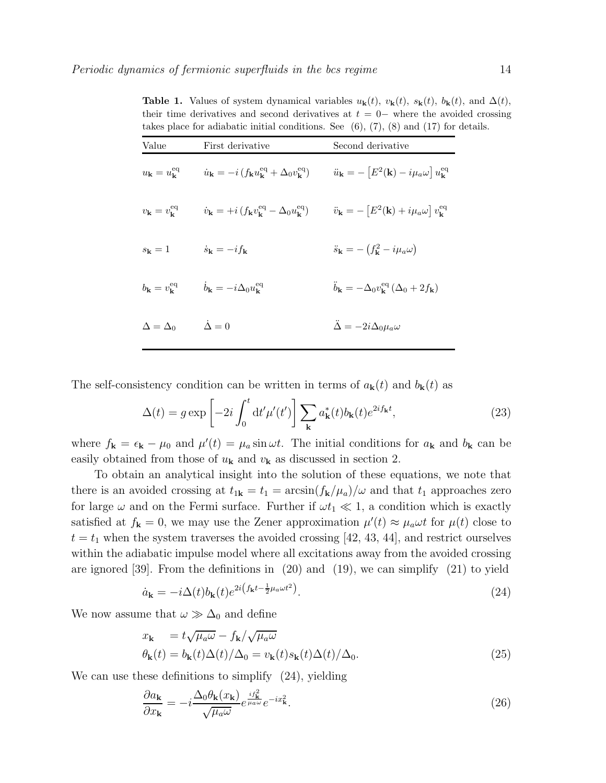| takes place for adiabatic initial conditions. See $(0), (7), (8)$ and $(17)$ for a |                                                                                                                                                             |                                                                                                           |
|------------------------------------------------------------------------------------|-------------------------------------------------------------------------------------------------------------------------------------------------------------|-----------------------------------------------------------------------------------------------------------|
| Value                                                                              | First derivative                                                                                                                                            | Second derivative                                                                                         |
|                                                                                    | $u_{\mathbf{k}} = u_{\mathbf{k}}^{\text{eq}}$ $\dot{u}_{\mathbf{k}} = -i (f_{\mathbf{k}} u_{\mathbf{k}}^{\text{eq}} + \Delta_0 v_{\mathbf{k}}^{\text{eq}})$ | $\ddot{u}_{\mathbf{k}} = -\left[E^2(\mathbf{k}) - i\mu_a\omega\right]u_{\mathbf{k}}^{\text{eq}}$          |
| $v_{\mathbf{k}}=v_{\mathbf{k}}^{\text{eq}}$                                        | $\dot{v}_{\mathbf{k}} = +i (f_{\mathbf{k}} v_{\mathbf{k}}^{\text{eq}} - \Delta_0 u_{\mathbf{k}}^{\text{eq}})$                                               | $\ddot{v}_{\mathbf{k}} = -\left[E^2(\mathbf{k}) + i\mu_a\omega\right]v_{\mathbf{k}}^{\text{eq}}$          |
| $s_{\bf k}=1$                                                                      | $\dot{s}_{\mathbf{k}} = -i f_{\mathbf{k}}$                                                                                                                  | $\ddot{s}_{\mathbf{k}} = -\left(f_{\mathbf{k}}^2 - i\mu_a\omega\right)$                                   |
| $b_{\mathbf{k}}=v_{\mathbf{k}}^{\text{eq}}$                                        | $b_{\mathbf{k}} = -i\Delta_0 u_{\mathbf{k}}^{\text{eq}}$                                                                                                    | $\ddot{b}_{\mathbf{k}} = -\Delta_0 v_{\mathbf{k}}^{\text{eq}} \left( \Delta_0 + 2 f_{\mathbf{k}} \right)$ |
| $\Delta = \Delta_0$                                                                | $\dot{\Delta}=0$                                                                                                                                            | $\ddot{\Delta} = -2i\Delta_0\mu_a\omega$                                                                  |

**Table 1.** Values of system dynamical variables  $u_{\mathbf{k}}(t)$ ,  $v_{\mathbf{k}}(t)$ ,  $s_{\mathbf{k}}(t)$ ,  $b_{\mathbf{k}}(t)$ , and  $\Delta(t)$ , their time derivatives and second derivatives at  $t = 0-$  where the avoided crossing takes place for adiabatic initial conditions. See (6), (7), (8) and (17) for details. takes place for adiabatic initial conditions. See  $(6)$ ,  $(7)$ ,  $(8)$  and  $(17)$  for

The self-consistency condition can be written in terms of  $a_{\bf k}(t)$  and  $b_{\bf k}(t)$  as

$$
\Delta(t) = g \exp\left[-2i \int_0^t dt' \mu'(t')\right] \sum_{\mathbf{k}} a_{\mathbf{k}}^*(t) b_{\mathbf{k}}(t) e^{2i f_{\mathbf{k}}t},\tag{23}
$$

where  $f_{\bf k} = \epsilon_{\bf k} - \mu_0$  and  $\mu'(t) = \mu_a \sin \omega t$ . The initial conditions for  $a_{\bf k}$  and  $b_{\bf k}$  can be easily obtained from those of  $u_{\mathbf{k}}$  and  $v_{\mathbf{k}}$  as discussed in section 2.

To obtain an analytical insight into the solution of these equations, we note that there is an avoided crossing at  $t_{1k} = t_1 = \arcsin(f_k/\mu_a)/\omega$  and that  $t_1$  approaches zero for large  $\omega$  and on the Fermi surface. Further if  $\omega t_1 \ll 1$ , a condition which is exactly satisfied at  $f_{\mathbf{k}} = 0$ , we may use the Zener approximation  $\mu'(t) \approx \mu_a \omega t$  for  $\mu(t)$  close to  $t = t_1$  when the system traverses the avoided crossing [42, 43, 44], and restrict ourselves within the adiabatic impulse model where all excitations away from the avoided crossing are ignored [39]. From the definitions in (20) and (19), we can simplify (21) to yield

$$
\dot{a}_{\mathbf{k}} = -i\Delta(t)b_{\mathbf{k}}(t)e^{2i\left(f_{\mathbf{k}}t - \frac{1}{2}\mu_a\omega t^2\right)}.
$$
\n(24)

We now assume that  $\omega \gg \Delta_0$  and define

$$
x_{\mathbf{k}} = t\sqrt{\mu_a\omega} - f_{\mathbf{k}}/\sqrt{\mu_a\omega}
$$
  
\n
$$
\theta_{\mathbf{k}}(t) = b_{\mathbf{k}}(t)\Delta(t)/\Delta_0 = v_{\mathbf{k}}(t)s_{\mathbf{k}}(t)\Delta(t)/\Delta_0.
$$
\n(25)

We can use these definitions to simplify  $(24)$ , yielding

$$
\frac{\partial a_{\mathbf{k}}}{\partial x_{\mathbf{k}}} = -i \frac{\Delta_0 \theta_{\mathbf{k}}(x_{\mathbf{k}})}{\sqrt{\mu_a \omega}} e^{\frac{if_{\mathbf{k}}^2}{\mu_a \omega}} e^{-ix_{\mathbf{k}}^2}.
$$
\n(26)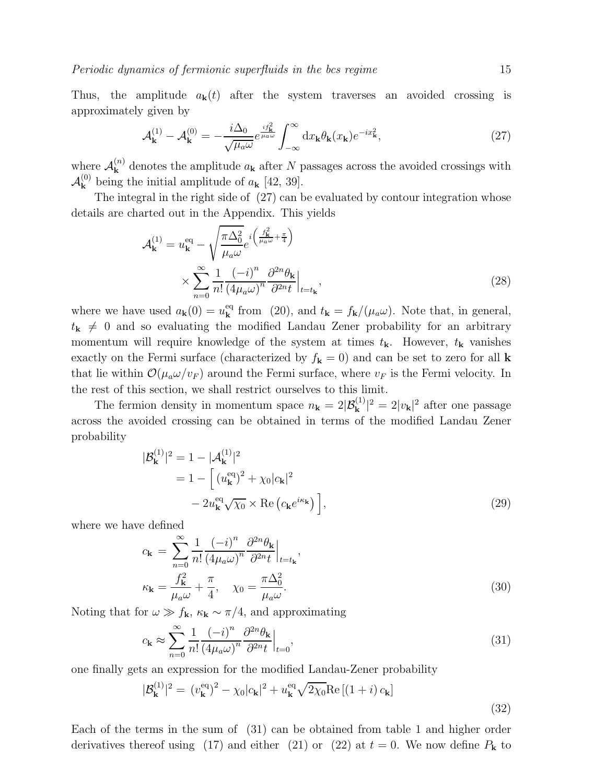Thus, the amplitude  $a_{\bf k}(t)$  after the system traverses an avoided crossing is approximately given by

$$
\mathcal{A}_{\mathbf{k}}^{(1)} - \mathcal{A}_{\mathbf{k}}^{(0)} = -\frac{i\Delta_0}{\sqrt{\mu_a \omega}} e^{\frac{if_{\mathbf{k}}^2}{\mu_a \omega}} \int_{-\infty}^{\infty} dx_{\mathbf{k}} \theta_{\mathbf{k}}(x_{\mathbf{k}}) e^{-ix_{\mathbf{k}}^2},\tag{27}
$$

where  $\mathcal{A}_{\mathbf{k}}^{(n)}$  denotes the amplitude  $a_{\mathbf{k}}$  after N passages across the avoided crossings with  $\mathcal{A}_{\mathbf{k}}^{(0)}$  being the initial amplitude of  $a_{\mathbf{k}}$  [42, 39].

The integral in the right side of (27) can be evaluated by contour integration whose details are charted out in the Appendix. This yields

$$
\mathcal{A}_{\mathbf{k}}^{(1)} = u_{\mathbf{k}}^{\text{eq}} - \sqrt{\frac{\pi \Delta_0^2}{\mu_a \omega}} e^{i \left( \frac{f_{\mathbf{k}}^2}{\mu_a \omega} + \frac{\pi}{4} \right)} \times \sum_{n=0}^{\infty} \frac{1}{n!} \frac{(-i)^n}{\left( 4\mu_a \omega \right)^n} \frac{\partial^{2n} \theta_{\mathbf{k}}}{\partial^{2n} t} \Big|_{t=t_{\mathbf{k}}},\tag{28}
$$

where we have used  $a_{\mathbf{k}}(0) = u_{\mathbf{k}}^{\text{eq}}$  from (20), and  $t_{\mathbf{k}} = f_{\mathbf{k}}/(\mu_a \omega)$ . Note that, in general,  $t_{\mathbf{k}} \neq 0$  and so evaluating the modified Landau Zener probability for an arbitrary momentum will require knowledge of the system at times  $t_{\mathbf{k}}$ . However,  $t_{\mathbf{k}}$  vanishes exactly on the Fermi surface (characterized by  $f_{\mathbf{k}} = 0$ ) and can be set to zero for all **k** that lie within  $\mathcal{O}(\mu_a \omega/v_F)$  around the Fermi surface, where  $v_F$  is the Fermi velocity. In the rest of this section, we shall restrict ourselves to this limit.

The fermion density in momentum space  $n_{\mathbf{k}} = 2|\mathcal{B}_{\mathbf{k}}^{(1)}|^2 = 2|v_{\mathbf{k}}|^2$  after one passage across the avoided crossing can be obtained in terms of the modified Landau Zener probability

$$
|\mathcal{B}_{\mathbf{k}}^{(1)}|^2 = 1 - |\mathcal{A}_{\mathbf{k}}^{(1)}|^2
$$
  
= 1 - \left[ (u\_{\mathbf{k}}^{\text{eq}})^2 + \chi\_0 |c\_{\mathbf{k}}|^2 - 2u\_{\mathbf{k}}^{\text{eq}} \sqrt{\chi\_0} \times \text{Re} (c\_{\mathbf{k}} e^{i\kappa\_{\mathbf{k}}}) \right], (29)

where we have defined

$$
c_{\mathbf{k}} = \sum_{n=0}^{\infty} \frac{1}{n!} \frac{(-i)^n}{(4\mu_a \omega)^n} \frac{\partial^{2n} \theta_{\mathbf{k}}}{\partial^{2n} t} \Big|_{t=t_{\mathbf{k}}},
$$
  

$$
\kappa_{\mathbf{k}} = \frac{f_{\mathbf{k}}^2}{\mu_a \omega} + \frac{\pi}{4}, \quad \chi_0 = \frac{\pi \Delta_0^2}{\mu_a \omega}.
$$
 (30)

Noting that for  $\omega \gg f_{\mathbf{k}}, \kappa_{\mathbf{k}} \sim \pi/4$ , and approximating

$$
c_{\mathbf{k}} \approx \sum_{n=0}^{\infty} \frac{1}{n!} \frac{(-i)^n}{\left(4\mu_a \omega\right)^n} \frac{\partial^{2n} \theta_{\mathbf{k}}}{\partial^{2n} t} \Big|_{t=0},\tag{31}
$$

one finally gets an expression for the modified Landau-Zener probability

$$
|\mathcal{B}_{\mathbf{k}}^{(1)}|^2 = (v_{\mathbf{k}}^{\text{eq}})^2 - \chi_0|c_{\mathbf{k}}|^2 + u_{\mathbf{k}}^{\text{eq}}\sqrt{2\chi_0}\text{Re}\left[(1+i)c_{\mathbf{k}}\right]
$$
\n(32)

Each of the terms in the sum of (31) can be obtained from table 1 and higher order derivatives thereof using (17) and either (21) or (22) at  $t = 0$ . We now define  $P_{\bf k}$  to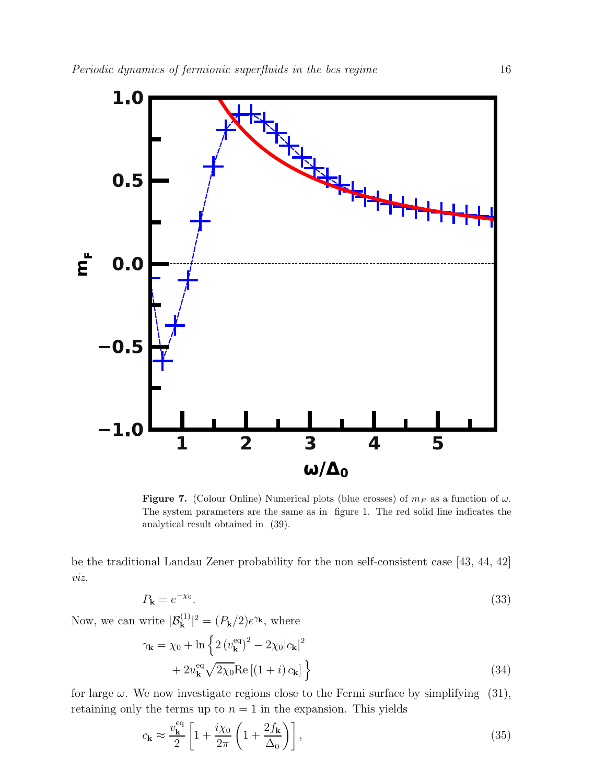

Figure 7. (Colour Online) Numerical plots (blue crosses) of  $m_F$  as a function of  $\omega$ . The system parameters are the same as in figure 1. The red solid line indicates the analytical result obtained in (39).

be the traditional Landau Zener probability for the non self-consistent case [43, 44, 42] viz.

$$
P_{\mathbf{k}} = e^{-\chi_0}.\tag{33}
$$

Now, we can write  $|\mathcal{B}_{\mathbf{k}}^{(1)}|^2 = (P_{\mathbf{k}}/2)e^{\gamma_{\mathbf{k}}},$  where

$$
\gamma_{\mathbf{k}} = \chi_0 + \ln \left\{ 2 \left( v_{\mathbf{k}}^{\text{eq}} \right)^2 - 2 \chi_0 |c_{\mathbf{k}}|^2 + 2 u_{\mathbf{k}}^{\text{eq}} \sqrt{2 \chi_0} \text{Re} \left[ \left( 1 + i \right) c_{\mathbf{k}} \right] \right\}
$$
\n(34)

for large  $\omega$ . We now investigate regions close to the Fermi surface by simplifying (31), retaining only the terms up to  $n = 1$  in the expansion. This yields

$$
c_{\mathbf{k}} \approx \frac{v_{\mathbf{k}}^{\text{eq}}}{2} \left[ 1 + \frac{i\chi_0}{2\pi} \left( 1 + \frac{2f_{\mathbf{k}}}{\Delta_0} \right) \right],\tag{35}
$$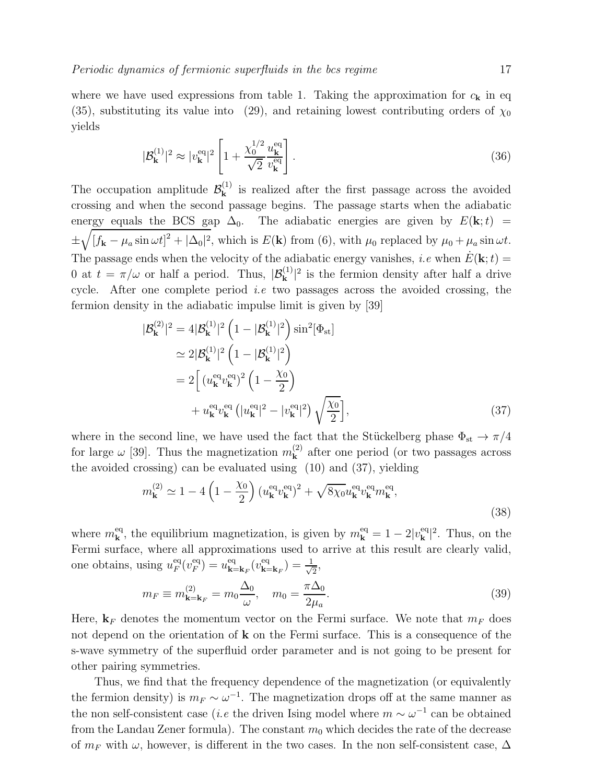where we have used expressions from table 1. Taking the approximation for  $c_{\mathbf{k}}$  in eq (35), substituting its value into (29), and retaining lowest contributing orders of  $\chi_0$ yields

$$
|\mathcal{B}_{\mathbf{k}}^{(1)}|^2 \approx |v_{\mathbf{k}}^{\text{eq}}|^2 \left[ 1 + \frac{\chi_0^{1/2}}{\sqrt{2}} \frac{u_{\mathbf{k}}^{\text{eq}}}{v_{\mathbf{k}}^{\text{eq}}} \right]. \tag{36}
$$

The occupation amplitude  $\mathcal{B}_{\mathbf{k}}^{(1)}$  is realized after the first passage across the avoided crossing and when the second passage begins. The passage starts when the adiabatic energy equals the BCS gap  $\Delta_0$ . The adiabatic energies are given by  $E(\mathbf{k};t)$  = ±  $\sqrt{\left[f_{\mathbf{k}}-\mu_a\sin\omega t\right]^2+\left|\Delta_0\right|^2}$ , which is  $E(\mathbf{k})$  from (6), with  $\mu_0$  replaced by  $\mu_0+\mu_a\sin\omega t$ . The passage ends when the velocity of the adiabatic energy vanishes, *i.e* when  $\dot{E}(\mathbf{k};t) =$ 0 at  $t = \pi/\omega$  or half a period. Thus,  $|\mathcal{B}_{\mathbf{k}}^{(1)}|^2$  is the fermion density after half a drive cycle. After one complete period *i.e* two passages across the avoided crossing, the fermion density in the adiabatic impulse limit is given by [39]

$$
|\mathcal{B}_{\mathbf{k}}^{(2)}|^2 = 4|\mathcal{B}_{\mathbf{k}}^{(1)}|^2 \left(1 - |\mathcal{B}_{\mathbf{k}}^{(1)}|^2\right) \sin^2[\Phi_{\rm st}]
$$
  
\n
$$
\simeq 2|\mathcal{B}_{\mathbf{k}}^{(1)}|^2 \left(1 - |\mathcal{B}_{\mathbf{k}}^{(1)}|^2\right)
$$
  
\n
$$
= 2\left[ (u_{\mathbf{k}}^{\rm eq} v_{\mathbf{k}}^{\rm eq})^2 \left(1 - \frac{\chi_0}{2}\right) + u_{\mathbf{k}}^{\rm eq} v_{\mathbf{k}}^{\rm eq} \left( |u_{\mathbf{k}}^{\rm eq}|^2 - |v_{\mathbf{k}}^{\rm eq}|^2 \right) \sqrt{\frac{\chi_0}{2}} \right],
$$
\n(37)

where in the second line, we have used the fact that the Stückelberg phase  $\Phi_{st} \to \pi/4$ for large  $\omega$  [39]. Thus the magnetization  $m_k^{(2)}$  after one period (or two passages across the avoided crossing) can be evaluated using (10) and (37), yielding

$$
m_{\mathbf{k}}^{(2)} \simeq 1 - 4\left(1 - \frac{\chi_0}{2}\right) \left(u_{\mathbf{k}}^{\text{eq}} v_{\mathbf{k}}^{\text{eq}}\right)^2 + \sqrt{8\chi_0} u_{\mathbf{k}}^{\text{eq}} v_{\mathbf{k}}^{\text{eq}} m_{\mathbf{k}}^{\text{eq}},\tag{38}
$$

where  $m_{\bf k}^{\text{eq}}$ , the equilibrium magnetization, is given by  $m_{\bf k}^{\text{eq}} = 1 - 2|v_{\bf k}^{\text{eq}}|^2$ . Thus, on the Fermi surface, where all approximations used to arrive at this result are clearly valid, one obtains, using  $u_F^{\text{eq}}$  $_{F}^{\text{eq}}(v_{F}^{\text{eq}})$  $v_{\mathbf{k}=\mathbf{k}_F}^{\text{eq}}(v_{\mathbf{k}=\mathbf{k}_F}^{\text{eq}}(v_{\mathbf{k}=\mathbf{k}_F}^{\text{eq}})=\frac{1}{\sqrt{2}}$  $\frac{1}{2}$ 

$$
m_F \equiv m_{\mathbf{k} = \mathbf{k}_F}^{(2)} = m_0 \frac{\Delta_0}{\omega}, \quad m_0 = \frac{\pi \Delta_0}{2\mu_a}.
$$
 (39)

Here,  $\mathbf{k}_F$  denotes the momentum vector on the Fermi surface. We note that  $m_F$  does not depend on the orientation of  $k$  on the Fermi surface. This is a consequence of the s-wave symmetry of the superfluid order parameter and is not going to be present for other pairing symmetries.

Thus, we find that the frequency dependence of the magnetization (or equivalently the fermion density) is  $m_F \sim \omega^{-1}$ . The magnetization drops off at the same manner as the non self-consistent case (*i.e* the driven Ising model where  $m \sim \omega^{-1}$  can be obtained from the Landau Zener formula). The constant  $m_0$  which decides the rate of the decrease of  $m_F$  with  $\omega$ , however, is different in the two cases. In the non self-consistent case,  $\Delta$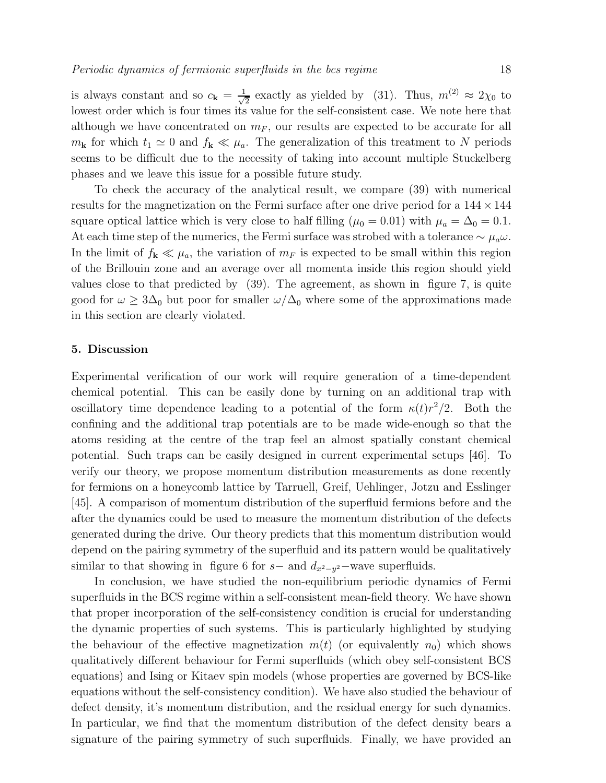is always constant and so  $c_{\mathbf{k}} = \frac{1}{\sqrt{k}}$  $\frac{1}{2}$  exactly as yielded by (31). Thus,  $m^{(2)} \approx 2\chi_0$  to lowest order which is four times its value for the self-consistent case. We note here that although we have concentrated on  $m_F$ , our results are expected to be accurate for all  $m_{\bf k}$  for which  $t_1 \simeq 0$  and  $f_{\bf k} \ll \mu_a$ . The generalization of this treatment to N periods seems to be difficult due to the necessity of taking into account multiple Stuckelberg phases and we leave this issue for a possible future study.

To check the accuracy of the analytical result, we compare (39) with numerical results for the magnetization on the Fermi surface after one drive period for a  $144 \times 144$ square optical lattice which is very close to half filling ( $\mu_0 = 0.01$ ) with  $\mu_a = \Delta_0 = 0.1$ . At each time step of the numerics, the Fermi surface was strobed with a tolerance  $\sim \mu_a \omega$ . In the limit of  $f_k \ll \mu_a$ , the variation of  $m_F$  is expected to be small within this region of the Brillouin zone and an average over all momenta inside this region should yield values close to that predicted by (39). The agreement, as shown in figure 7, is quite good for  $\omega \geq 3\Delta_0$  but poor for smaller  $\omega/\Delta_0$  where some of the approximations made in this section are clearly violated.

#### 5. Discussion

Experimental verification of our work will require generation of a time-dependent chemical potential. This can be easily done by turning on an additional trap with oscillatory time dependence leading to a potential of the form  $\kappa(t)r^2/2$ . Both the confining and the additional trap potentials are to be made wide-enough so that the atoms residing at the centre of the trap feel an almost spatially constant chemical potential. Such traps can be easily designed in current experimental setups [46]. To verify our theory, we propose momentum distribution measurements as done recently for fermions on a honeycomb lattice by Tarruell, Greif, Uehlinger, Jotzu and Esslinger [45]. A comparison of momentum distribution of the superfluid fermions before and the after the dynamics could be used to measure the momentum distribution of the defects generated during the drive. Our theory predicts that this momentum distribution would depend on the pairing symmetry of the superfluid and its pattern would be qualitatively similar to that showing in figure 6 for  $s-$  and  $d_{x^2-y^2}$ -wave superfluids.

In conclusion, we have studied the non-equilibrium periodic dynamics of Fermi superfluids in the BCS regime within a self-consistent mean-field theory. We have shown that proper incorporation of the self-consistency condition is crucial for understanding the dynamic properties of such systems. This is particularly highlighted by studying the behaviour of the effective magnetization  $m(t)$  (or equivalently  $n_0$ ) which shows qualitatively different behaviour for Fermi superfluids (which obey self-consistent BCS equations) and Ising or Kitaev spin models (whose properties are governed by BCS-like equations without the self-consistency condition). We have also studied the behaviour of defect density, it's momentum distribution, and the residual energy for such dynamics. In particular, we find that the momentum distribution of the defect density bears a signature of the pairing symmetry of such superfluids. Finally, we have provided an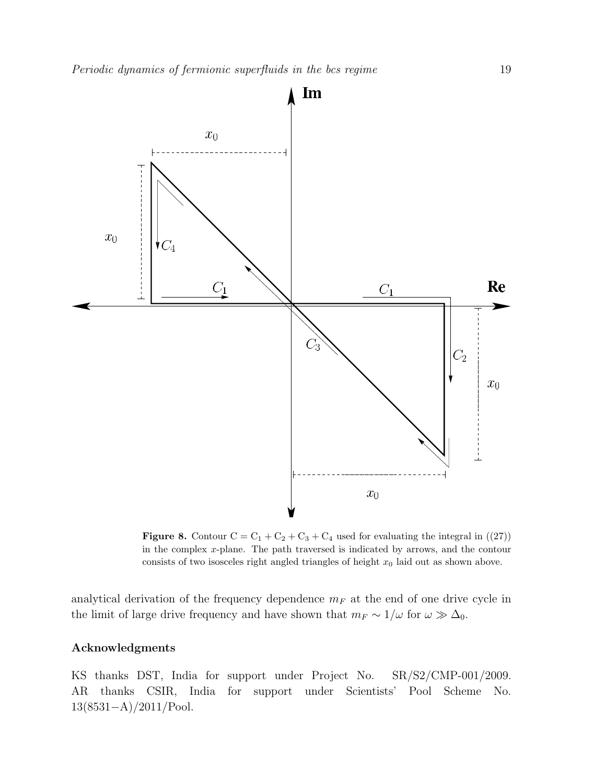

Figure 8. Contour  $C = C_1 + C_2 + C_3 + C_4$  used for evaluating the integral in  $((27))$ in the complex x-plane. The path traversed is indicated by arrows, and the contour consists of two isosceles right angled triangles of height  $x_0$  laid out as shown above.

analytical derivation of the frequency dependence  $m_F$  at the end of one drive cycle in the limit of large drive frequency and have shown that  $m_F \sim 1/\omega$  for  $\omega \gg \Delta_0$ .

# Acknowledgments

KS thanks DST, India for support under Project No. SR/S2/CMP-001/2009. AR thanks CSIR, India for support under Scientists' Pool Scheme No. 13(8531−A)/2011/Pool.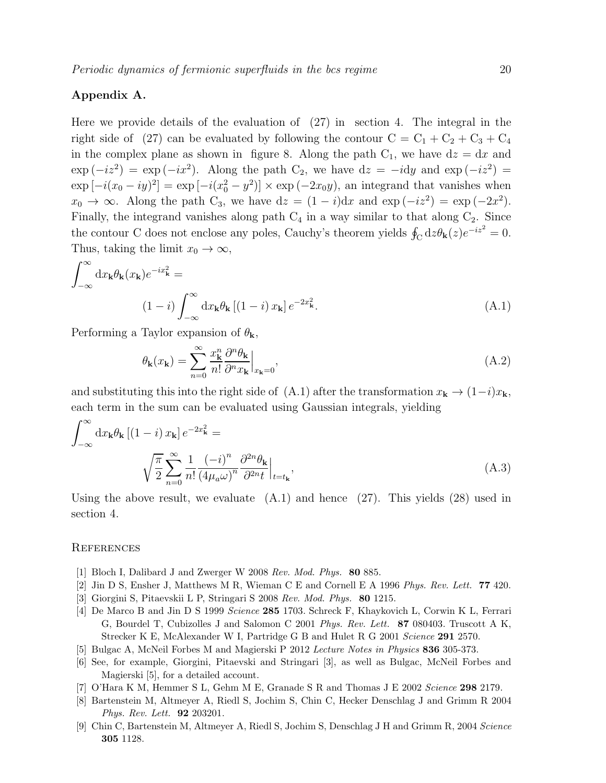# Appendix A.

Here we provide details of the evaluation of (27) in section 4. The integral in the right side of (27) can be evaluated by following the contour  $C = C_1 + C_2 + C_3 + C_4$ in the complex plane as shown in figure 8. Along the path  $C_1$ , we have  $dz = dx$  and  $\exp(-iz^2) = \exp(-ix^2)$ . Along the path C<sub>2</sub>, we have  $dz = -i dy$  and  $\exp(-iz^2) =$  $\exp[-i(x_0 - iy)^2] = \exp[-i(x_0^2 - y^2)] \times \exp(-2x_0y)$ , an integrand that vanishes when  $x_0 \to \infty$ . Along the path C<sub>3</sub>, we have  $dz = (1 - i)dx$  and  $exp(-iz^2) = exp(-2x^2)$ . Finally, the integrand vanishes along path  $C_4$  in a way similar to that along  $C_2$ . Since the contour C does not enclose any poles, Cauchy's theorem yields  $\oint_C dz \theta_{\mathbf{k}}(z) e^{-iz^2} = 0$ . Thus, taking the limit  $x_0 \to \infty$ ,

$$
\int_{-\infty}^{\infty} dx_{\mathbf{k}} \theta_{\mathbf{k}}(x_{\mathbf{k}}) e^{-ix_{\mathbf{k}}^2} =
$$
\n
$$
(1-i) \int_{-\infty}^{\infty} dx_{\mathbf{k}} \theta_{\mathbf{k}} [(1-i) x_{\mathbf{k}}] e^{-2x_{\mathbf{k}}^2}.
$$
\n(A.1)

Performing a Taylor expansion of  $\theta_{\mathbf{k}}$ ,

$$
\theta_{\mathbf{k}}(x_{\mathbf{k}}) = \sum_{n=0}^{\infty} \frac{x_{\mathbf{k}}^n}{n!} \frac{\partial^n \theta_{\mathbf{k}}}{\partial^n x_{\mathbf{k}}}\Big|_{x_{\mathbf{k}}=0},\tag{A.2}
$$

and substituting this into the right side of (A.1) after the transformation  $x_{\bf k} \to (1-i)x_{\bf k}$ , each term in the sum can be evaluated using Gaussian integrals, yielding

$$
\int_{-\infty}^{\infty} dx_{\mathbf{k}} \theta_{\mathbf{k}} \left[ (1-i) x_{\mathbf{k}} \right] e^{-2x_{\mathbf{k}}^2} =
$$
\n
$$
\sqrt{\frac{\pi}{2}} \sum_{n=0}^{\infty} \frac{1}{n!} \frac{(-i)^n}{(4\mu_a \omega)^n} \frac{\partial^{2n} \theta_{\mathbf{k}}}{\partial^{2n} t} \Big|_{t=t_{\mathbf{k}}},
$$
\n(A.3)

Using the above result, we evaluate (A.1) and hence (27). This yields (28) used in section 4.

### **REFERENCES**

- [1] Bloch I, Dalibard J and Zwerger W 2008 Rev. Mod. Phys. 80 885.
- [2] Jin D S, Ensher J, Matthews M R, Wieman C E and Cornell E A 1996 Phys. Rev. Lett. 77 420.
- [3] Giorgini S, Pitaevskii L P, Stringari S 2008 Rev. Mod. Phys. 80 1215.
- [4] De Marco B and Jin D S 1999 Science 285 1703. Schreck F, Khaykovich L, Corwin K L, Ferrari G, Bourdel T, Cubizolles J and Salomon C 2001 Phys. Rev. Lett. 87 080403. Truscott A K, Strecker K E, McAlexander W I, Partridge G B and Hulet R G 2001 Science 291 2570.
- [5] Bulgac A, McNeil Forbes M and Magierski P 2012 Lecture Notes in Physics 836 305-373.
- [6] See, for example, Giorgini, Pitaevski and Stringari [3], as well as Bulgac, McNeil Forbes and Magierski [5], for a detailed account.
- [7] O'Hara K M, Hemmer S L, Gehm M E, Granade S R and Thomas J E 2002 Science 298 2179.
- [8] Bartenstein M, Altmeyer A, Riedl S, Jochim S, Chin C, Hecker Denschlag J and Grimm R 2004 Phys. Rev. Lett. 92 203201.
- [9] Chin C, Bartenstein M, Altmeyer A, Riedl S, Jochim S, Denschlag J H and Grimm R, 2004 Science 305 1128.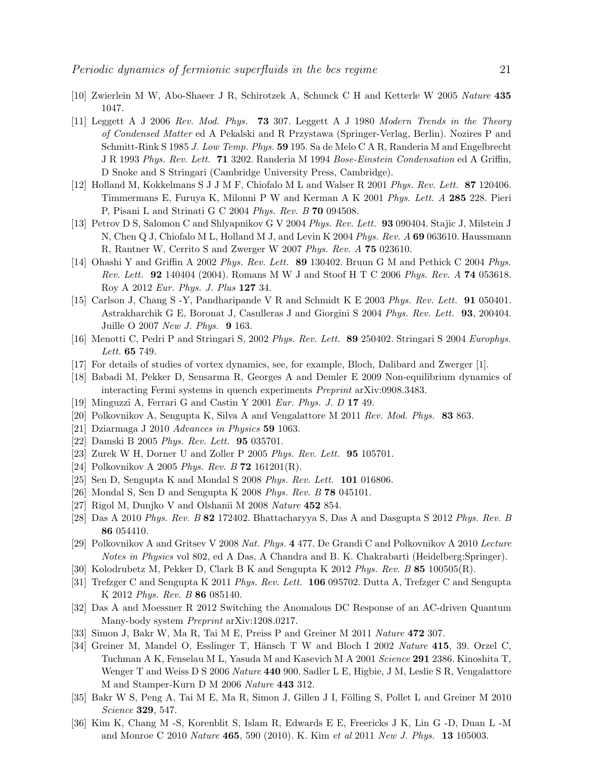- [10] Zwierlein M W, Abo-Shaeer J R, Schirotzek A, Schunck C H and Ketterle W 2005 Nature 435 1047.
- [11] Leggett A J 2006 Rev. Mod. Phys. 73 307. Leggett A J 1980 Modern Trends in the Theory of Condensed Matter ed A Pekalski and R Przystawa (Springer-Verlag, Berlin). Nozires P and Schmitt-Rink S 1985 J. Low Temp. Phys. 59 195. Sa de Melo C A R, Randeria M and Engelbrecht J R 1993 Phys. Rev. Lett. 71 3202. Randeria M 1994 Bose-Einstein Condensation ed A Griffin, D Snoke and S Stringari (Cambridge University Press, Cambridge).
- [12] Holland M, Kokkelmans S J J M F, Chiofalo M L and Walser R 2001 Phys. Rev. Lett. 87 120406. Timmermans E, Furuya K, Milonni P W and Kerman A K 2001 Phys. Lett. A 285 228. Pieri P, Pisani L and Strinati G C 2004 Phys. Rev. B 70 094508.
- [13] Petrov D S, Salomon C and Shlyapnikov G V 2004 Phys. Rev. Lett. 93 090404. Stajic J, Milstein J N, Chen Q J, Chiofalo M L, Holland M J, and Levin K 2004 Phys. Rev. A 69 063610. Haussmann R, Rantner W, Cerrito S and Zwerger W 2007 Phys. Rev. A 75 023610.
- [14] Ohashi Y and Griffin A 2002 Phys. Rev. Lett. 89 130402. Bruun G M and Pethick C 2004 Phys. Rev. Lett. 92 140404 (2004). Romans M W J and Stoof H T C 2006 Phys. Rev. A 74 053618. Roy A 2012 Eur. Phys. J. Plus 127 34.
- [15] Carlson J, Chang S -Y, Pandharipande V R and Schmidt K E 2003 Phys. Rev. Lett. 91 050401. Astrakharchik G E, Boronat J, Casulleras J and Giorgini S 2004 Phys. Rev. Lett. 93, 200404. Juille O 2007 New J. Phys. 9 163.
- [16] Menotti C, Pedri P and Stringari S, 2002 Phys. Rev. Lett. 89 250402. Stringari S 2004 Europhys. Lett. 65 749.
- [17] For details of studies of vortex dynamics, see, for example, Bloch, Dalibard and Zwerger [1].
- [18] Babadi M, Pekker D, Sensarma R, Georges A and Demler E 2009 Non-equilibrium dynamics of interacting Fermi systems in quench experiments Preprint arXiv:0908.3483.
- [19] Minguzzi A, Ferrari G and Castin Y 2001 Eur. Phys. J. D 17 49.
- [20] Polkovnikov A, Sengupta K, Silva A and Vengalattore M 2011 Rev. Mod. Phys. 83 863.
- [21] Dziarmaga J 2010 Advances in Physics 59 1063.
- [22] Damski B 2005 Phys. Rev. Lett. 95 035701.
- [23] Zurek W H, Dorner U and Zoller P 2005 Phys. Rev. Lett. 95 105701.
- [24] Polkovnikov A 2005 Phys. Rev. B 72 161201(R).
- [25] Sen D, Sengupta K and Mondal S 2008 Phys. Rev. Lett. 101 016806.
- [26] Mondal S, Sen D and Sengupta K 2008 Phys. Rev. B 78 045101.
- [27] Rigol M, Dunjko V and Olshanii M 2008 Nature 452 854.
- [28] Das A 2010 Phys. Rev. B 82 172402. Bhattacharyya S, Das A and Dasgupta S 2012 Phys. Rev. B 86 054410.
- [29] Polkovnikov A and Gritsev V 2008 Nat. Phys. 4 477. De Grandi C and Polkovnikov A 2010 Lecture Notes in Physics vol 802, ed A Das, A Chandra and B. K. Chakrabarti (Heidelberg:Springer).
- [30] Kolodrubetz M, Pekker D, Clark B K and Sengupta K 2012 Phys. Rev. B 85 100505(R).
- [31] Trefzger C and Sengupta K 2011 Phys. Rev. Lett. 106 095702. Dutta A, Trefzger C and Sengupta K 2012 Phys. Rev. B 86 085140.
- [32] Das A and Moessner R 2012 Switching the Anomalous DC Response of an AC-driven Quantum Many-body system Preprint arXiv:1208.0217.
- [33] Simon J, Bakr W, Ma R, Tai M E, Preiss P and Greiner M 2011 Nature 472 307.
- [34] Greiner M, Mandel O, Esslinger T, Hänsch T W and Bloch I 2002 Nature 415, 39. Orzel C, Tuchman A K, Fenselau M L, Yasuda M and Kasevich M A 2001 Science 291 2386. Kinoshita T, Wenger T and Weiss D S 2006 Nature 440 900. Sadler L E, Higbie, J M, Leslie S R, Vengalattore M and Stamper-Kurn D M 2006 Nature 443 312.
- [35] Bakr W S, Peng A, Tai M E, Ma R, Simon J, Gillen J I, Fölling S, Pollet L and Greiner M 2010 Science 329, 547.
- [36] Kim K, Chang M -S, Korenblit S, Islam R, Edwards E E, Freericks J K, Lin G -D, Duan L -M and Monroe C 2010 Nature 465, 590 (2010). K. Kim et al 2011 New J. Phys. 13 105003.